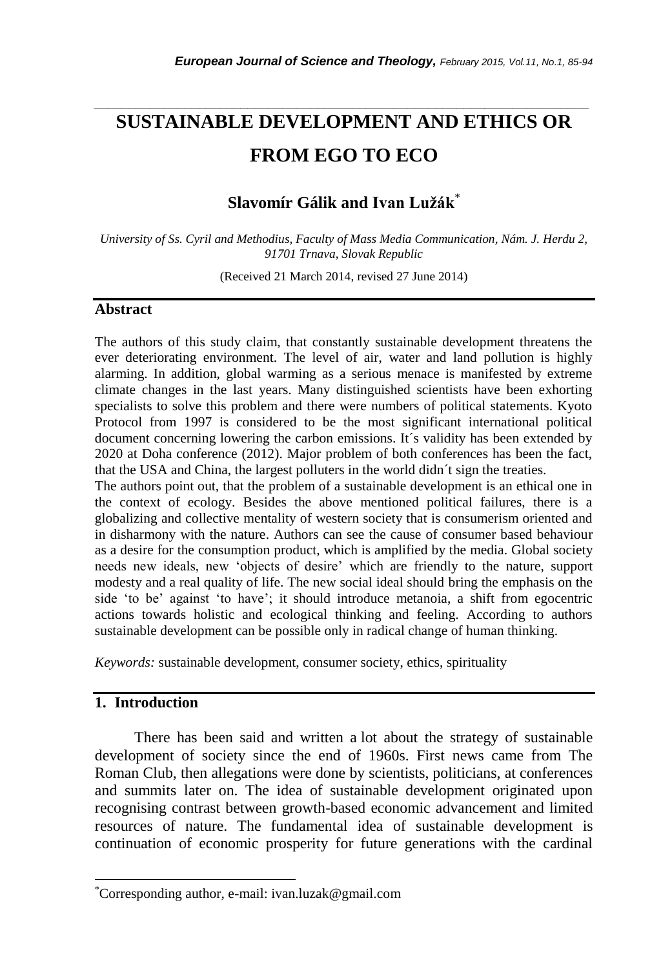# **SUSTAINABLE DEVELOPMENT AND ETHICS OR FROM EGO TO ECO**

*\_\_\_\_\_\_\_\_\_\_\_\_\_\_\_\_\_\_\_\_\_\_\_\_\_\_\_\_\_\_\_\_\_\_\_\_\_\_\_\_\_\_\_\_\_\_\_\_\_\_\_\_\_\_\_\_\_\_\_\_\_\_\_\_\_\_\_\_\_\_\_*

# **Slavomír Gálik and Ivan Lužák**\*

*University of Ss. Cyril and Methodius, Faculty of Mass Media Communication, Nám. J. Herdu 2, 91701 Trnava, Slovak Republic*

(Received 21 March 2014, revised 27 June 2014)

#### **Abstract**

The authors of this study claim, that constantly sustainable development threatens the ever deteriorating environment. The level of air, water and land pollution is highly alarming. In addition, global warming as a serious menace is manifested by extreme climate changes in the last years. Many distinguished scientists have been exhorting specialists to solve this problem and there were numbers of political statements. Kyoto Protocol from 1997 is considered to be the most significant international political document concerning lowering the carbon emissions. It´s validity has been extended by 2020 at Doha conference (2012). Major problem of both conferences has been the fact, that the USA and China, the largest polluters in the world didn´t sign the treaties.

The authors point out, that the problem of a sustainable development is an ethical one in the context of ecology. Besides the above mentioned political failures, there is a globalizing and collective mentality of western society that is consumerism oriented and in disharmony with the nature. Authors can see the cause of consumer based behaviour as a desire for the consumption product, which is amplified by the media. Global society needs new ideals, new 'objects of desire' which are friendly to the nature, support modesty and a real quality of life. The new social ideal should bring the emphasis on the side 'to be' against 'to have'; it should introduce metanoia, a shift from egocentric actions towards holistic and ecological thinking and feeling. According to authors sustainable development can be possible only in radical change of human thinking.

*Keywords:* sustainable development, consumer society, ethics, spirituality

## **1. Introduction**

l

There has been said and written a lot about the strategy of sustainable development of society since the end of 1960s. First news came from The Roman Club, then allegations were done by scientists, politicians, at conferences and summits later on. The idea of sustainable development originated upon recognising contrast between growth-based economic advancement and limited resources of nature. The fundamental idea of sustainable development is continuation of economic prosperity for future generations with the cardinal

<sup>\*</sup>Corresponding author, e-mail: ivan.luzak@gmail.com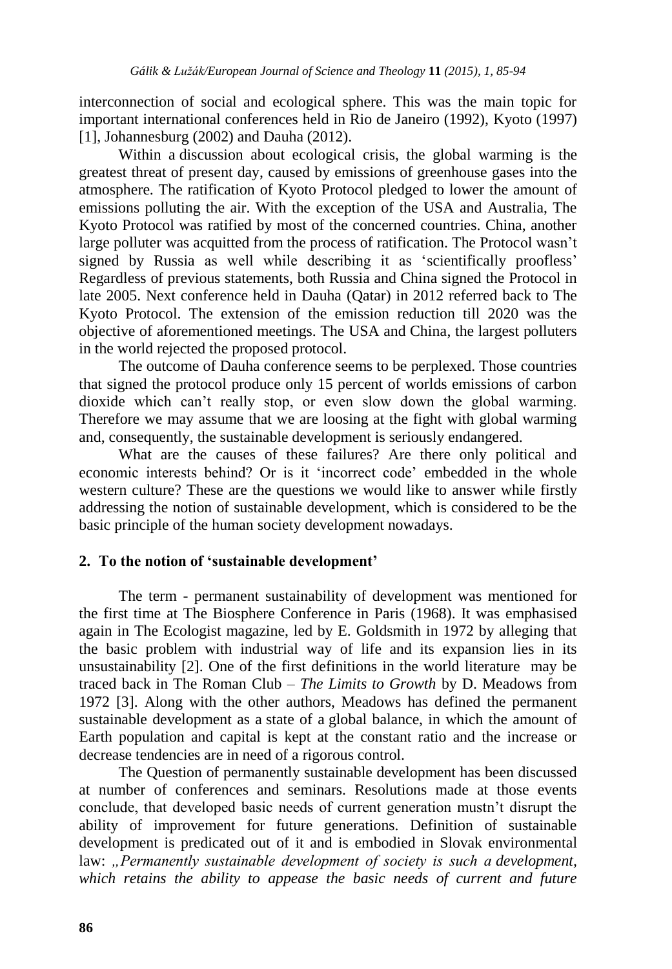interconnection of social and ecological sphere. This was the main topic for important international conferences held in Rio de Janeiro (1992), Kyoto (1997) [1], Johannesburg (2002) and Dauha (2012).

Within a discussion about ecological crisis, the global warming is the greatest threat of present day, caused by emissions of greenhouse gases into the atmosphere. The ratification of Kyoto Protocol pledged to lower the amount of emissions polluting the air. With the exception of the USA and Australia, The Kyoto Protocol was ratified by most of the concerned countries. China, another large polluter was acquitted from the process of ratification. The Protocol wasn't signed by Russia as well while describing it as 'scientifically proofless' Regardless of previous statements, both Russia and China signed the Protocol in late 2005. Next conference held in Dauha (Qatar) in 2012 referred back to The Kyoto Protocol. The extension of the emission reduction till 2020 was the objective of aforementioned meetings. The USA and China, the largest polluters in the world rejected the proposed protocol.

The outcome of Dauha conference seems to be perplexed. Those countries that signed the protocol produce only 15 percent of worlds emissions of carbon dioxide which can't really stop, or even slow down the global warming. Therefore we may assume that we are loosing at the fight with global warming and, consequently, the sustainable development is seriously endangered.

What are the causes of these failures? Are there only political and economic interests behind? Or is it 'incorrect code' embedded in the whole western culture? These are the questions we would like to answer while firstly addressing the notion of sustainable development, which is considered to be the basic principle of the human society development nowadays.

## **2. To the notion of 'sustainable development'**

The term - permanent sustainability of development was mentioned for the first time at The Biosphere Conference in Paris (1968). It was emphasised again in The Ecologist magazine, led by E. Goldsmith in 1972 by alleging that the basic problem with industrial way of life and its expansion lies in its unsustainability [2]. One of the first definitions in the world literature may be traced back in The Roman Club – *The Limits to Growth* by D. Meadows from 1972 [3]. Along with the other authors, Meadows has defined the permanent sustainable development as a state of a global balance, in which the amount of Earth population and capital is kept at the constant ratio and the increase or decrease tendencies are in need of a rigorous control.

The Question of permanently sustainable development has been discussed at number of conferences and seminars. Resolutions made at those events conclude, that developed basic needs of current generation mustn't disrupt the ability of improvement for future generations. Definition of sustainable development is predicated out of it and is embodied in Slovak environmental law: *"Permanently sustainable development of society is such a development, which retains the ability to appease the basic needs of current and future*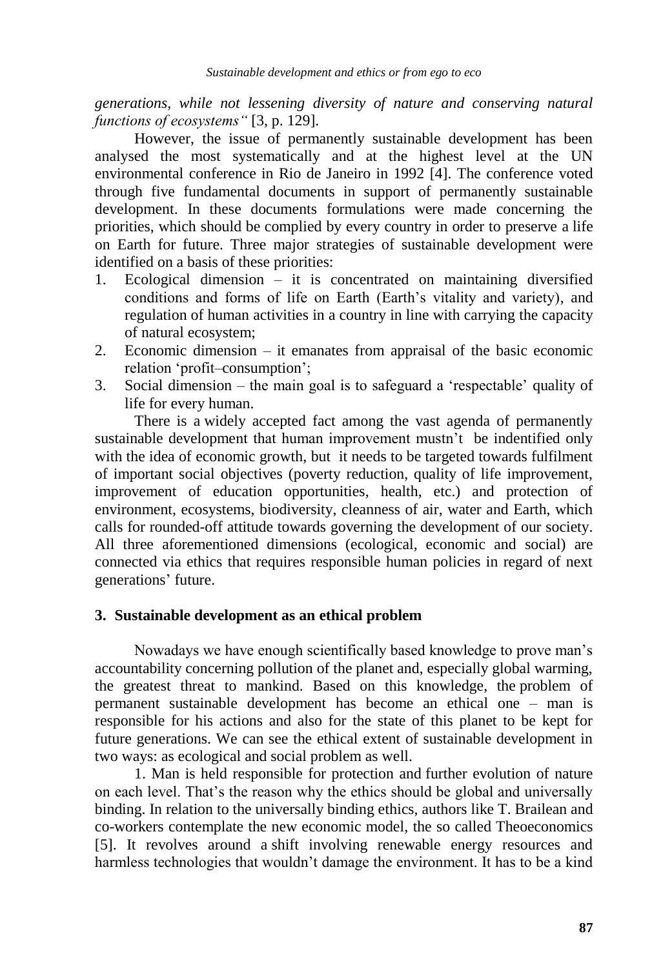*generations, while not lessening diversity of nature and conserving natural functions of ecosystems"* [3, p. 129].

However, the issue of permanently sustainable development has been analysed the most systematically and at the highest level at the UN environmental conference in Rio de Janeiro in 1992 [4]. The conference voted through five fundamental documents in support of permanently sustainable development. In these documents formulations were made concerning the priorities, which should be complied by every country in order to preserve a life on Earth for future. Three major strategies of sustainable development were identified on a basis of these priorities:

- 1. Ecological dimension it is concentrated on maintaining diversified conditions and forms of life on Earth (Earth's vitality and variety), and regulation of human activities in a country in line with carrying the capacity of natural ecosystem;
- 2. Economic dimension it emanates from appraisal of the basic economic relation 'profit–consumption';
- 3. Social dimension the main goal is to safeguard a 'respectable' quality of life for every human.

There is a widely accepted fact among the vast agenda of permanently sustainable development that human improvement mustn't be indentified only with the idea of economic growth, but it needs to be targeted towards fulfilment of important social objectives (poverty reduction, quality of life improvement, improvement of education opportunities, health, etc.) and protection of environment, ecosystems, biodiversity, cleanness of air, water and Earth, which calls for rounded-off attitude towards governing the development of our society. All three aforementioned dimensions (ecological, economic and social) are connected via ethics that requires responsible human policies in regard of next generations' future.

## **3. Sustainable development as an ethical problem**

Nowadays we have enough scientifically based knowledge to prove man's accountability concerning pollution of the planet and, especially global warming, the greatest threat to mankind. Based on this knowledge, the problem of permanent sustainable development has become an ethical one – man is responsible for his actions and also for the state of this planet to be kept for future generations. We can see the ethical extent of sustainable development in two ways: as ecological and social problem as well.

1. Man is held responsible for protection and further evolution of nature on each level. That's the reason why the ethics should be global and universally binding. In relation to the universally binding ethics, authors like T. Brailean and co-workers contemplate the new economic model, the so called Theoeconomics [5]. It revolves around a shift involving renewable energy resources and harmless technologies that wouldn't damage the environment. It has to be a kind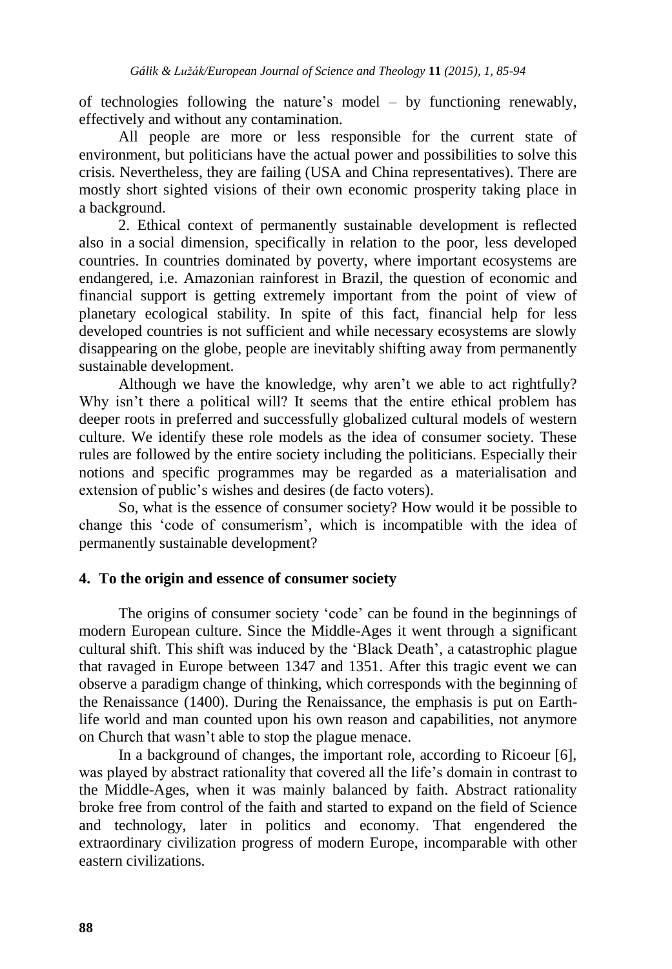of technologies following the nature's model – by functioning renewably, effectively and without any contamination.

All people are more or less responsible for the current state of environment, but politicians have the actual power and possibilities to solve this crisis. Nevertheless, they are failing (USA and China representatives). There are mostly short sighted visions of their own economic prosperity taking place in a background.

2. Ethical context of permanently sustainable development is reflected also in a social dimension, specifically in relation to the poor, less developed countries. In countries dominated by poverty, where important ecosystems are endangered, i.e. Amazonian rainforest in Brazil, the question of economic and financial support is getting extremely important from the point of view of planetary ecological stability. In spite of this fact, financial help for less developed countries is not sufficient and while necessary ecosystems are slowly disappearing on the globe, people are inevitably shifting away from permanently sustainable development.

Although we have the knowledge, why aren't we able to act rightfully? Why isn't there a political will? It seems that the entire ethical problem has deeper roots in preferred and successfully globalized cultural models of western culture. We identify these role models as the idea of consumer society. These rules are followed by the entire society including the politicians. Especially their notions and specific programmes may be regarded as a materialisation and extension of public's wishes and desires (de facto voters).

So, what is the essence of consumer society? How would it be possible to change this 'code of consumerism', which is incompatible with the idea of permanently sustainable development?

## **4. To the origin and essence of consumer society**

The origins of consumer society 'code' can be found in the beginnings of modern European culture. Since the Middle-Ages it went through a significant cultural shift. This shift was induced by the 'Black Death', a catastrophic plague that ravaged in Europe between 1347 and 1351. After this tragic event we can observe a paradigm change of thinking, which corresponds with the beginning of the Renaissance (1400). During the Renaissance, the emphasis is put on Earthlife world and man counted upon his own reason and capabilities, not anymore on Church that wasn't able to stop the plague menace.

In a background of changes, the important role, according to Ricoeur [6], was played by abstract rationality that covered all the life's domain in contrast to the Middle-Ages, when it was mainly balanced by faith. Abstract rationality broke free from control of the faith and started to expand on the field of Science and technology, later in politics and economy. That engendered the extraordinary civilization progress of modern Europe, incomparable with other eastern civilizations.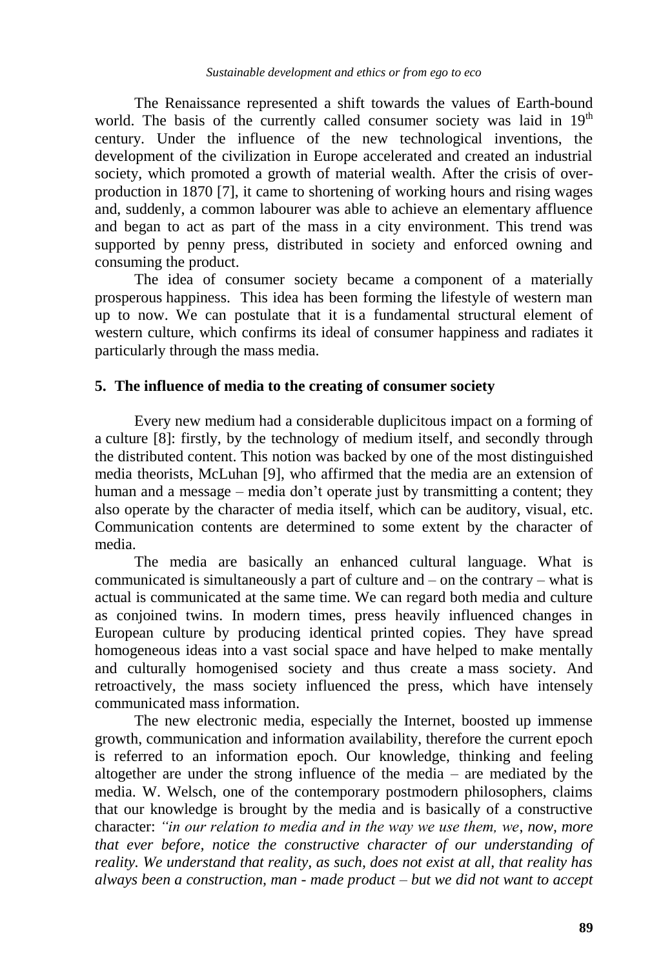The Renaissance represented a shift towards the values of Earth-bound world. The basis of the currently called consumer society was laid in  $19<sup>th</sup>$ century. Under the influence of the new technological inventions, the development of the civilization in Europe accelerated and created an industrial society, which promoted a growth of material wealth. After the crisis of overproduction in 1870 [7], it came to shortening of working hours and rising wages and, suddenly, a common labourer was able to achieve an elementary affluence and began to act as part of the mass in a city environment. This trend was supported by penny press, distributed in society and enforced owning and consuming the product.

The idea of consumer society became a component of a materially prosperous happiness. This idea has been forming the lifestyle of western man up to now. We can postulate that it is a fundamental structural element of western culture, which confirms its ideal of consumer happiness and radiates it particularly through the mass media.

## **5. The influence of media to the creating of consumer society**

Every new medium had a considerable duplicitous impact on a forming of a culture [8]: firstly, by the technology of medium itself, and secondly through the distributed content. This notion was backed by one of the most distinguished media theorists, McLuhan [9], who affirmed that the media are an extension of human and a message – media don't operate just by transmitting a content; they also operate by the character of media itself, which can be auditory, visual, etc. Communication contents are determined to some extent by the character of media.

The media are basically an enhanced cultural language. What is communicated is simultaneously a part of culture and – on the contrary – what is actual is communicated at the same time. We can regard both media and culture as conjoined twins. In modern times, press heavily influenced changes in European culture by producing identical printed copies. They have spread homogeneous ideas into a vast social space and have helped to make mentally and culturally homogenised society and thus create a mass society. And retroactively, the mass society influenced the press, which have intensely communicated mass information.

The new electronic media, especially the Internet, boosted up immense growth, communication and information availability, therefore the current epoch is referred to an information epoch. Our knowledge, thinking and feeling altogether are under the strong influence of the media – are mediated by the media. W. Welsch, one of the contemporary postmodern philosophers, claims that our knowledge is brought by the media and is basically of a constructive character: *"in our relation to media and in the way we use them, we, now, more that ever before, notice the constructive character of our understanding of reality. We understand that reality, as such, does not exist at all, that reality has always been a construction, man - made product – but we did not want to accept*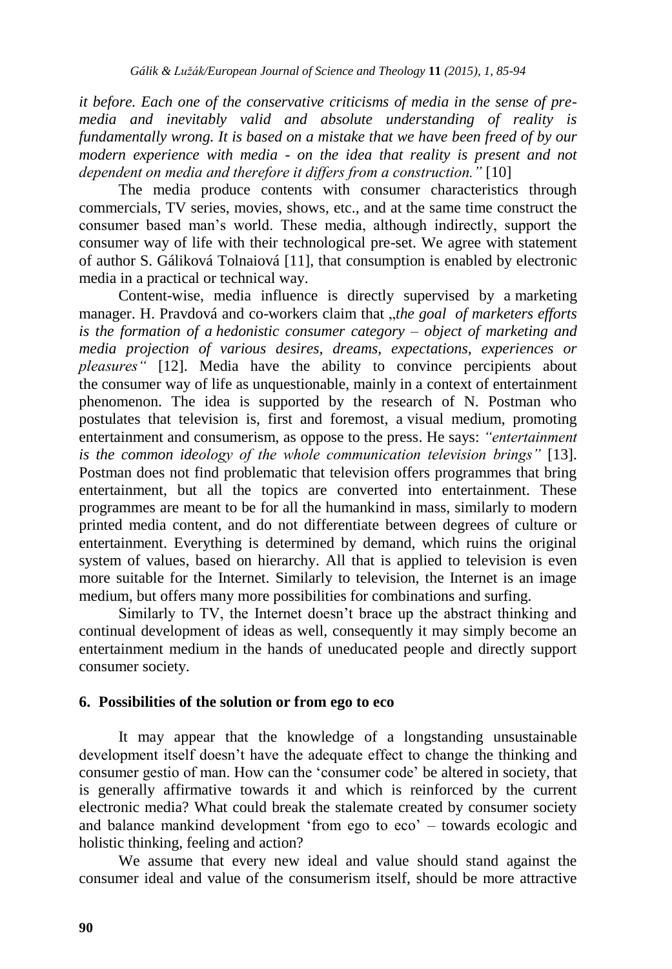*it before. Each one of the conservative criticisms of media in the sense of premedia and inevitably valid and absolute understanding of reality is fundamentally wrong. It is based on a mistake that we have been freed of by our modern experience with media - on the idea that reality is present and not dependent on media and therefore it differs from a construction."* [10]

The media produce contents with consumer characteristics through commercials, TV series, movies, shows, etc., and at the same time construct the consumer based man's world. These media, although indirectly, support the consumer way of life with their technological pre-set. We agree with statement of author S. Gáliková Tolnaiová [11], that consumption is enabled by electronic media in a practical or technical way.

Content-wise, media influence is directly supervised by a marketing manager. H. Pravdová and co-workers claim that *"the goal of marketers efforts is the formation of a hedonistic consumer category – object of marketing and media projection of various desires, dreams, expectations, experiences or pleasures"* [12]. Media have the ability to convince percipients about the consumer way of life as unquestionable, mainly in a context of entertainment phenomenon. The idea is supported by the research of N. Postman who postulates that television is, first and foremost, a visual medium, promoting entertainment and consumerism, as oppose to the press. He says: *"entertainment is the common ideology of the whole communication television brings"* [13]. Postman does not find problematic that television offers programmes that bring entertainment, but all the topics are converted into entertainment. These programmes are meant to be for all the humankind in mass, similarly to modern printed media content, and do not differentiate between degrees of culture or entertainment. Everything is determined by demand, which ruins the original system of values, based on hierarchy. All that is applied to television is even more suitable for the Internet. Similarly to television, the Internet is an image medium, but offers many more possibilities for combinations and surfing.

Similarly to TV, the Internet doesn't brace up the abstract thinking and continual development of ideas as well, consequently it may simply become an entertainment medium in the hands of uneducated people and directly support consumer society.

## **6. Possibilities of the solution or from ego to eco**

It may appear that the knowledge of a longstanding unsustainable development itself doesn't have the adequate effect to change the thinking and consumer gestio of man. How can the 'consumer code' be altered in society, that is generally affirmative towards it and which is reinforced by the current electronic media? What could break the stalemate created by consumer society and balance mankind development 'from ego to eco' – towards ecologic and holistic thinking, feeling and action?

We assume that every new ideal and value should stand against the consumer ideal and value of the consumerism itself, should be more attractive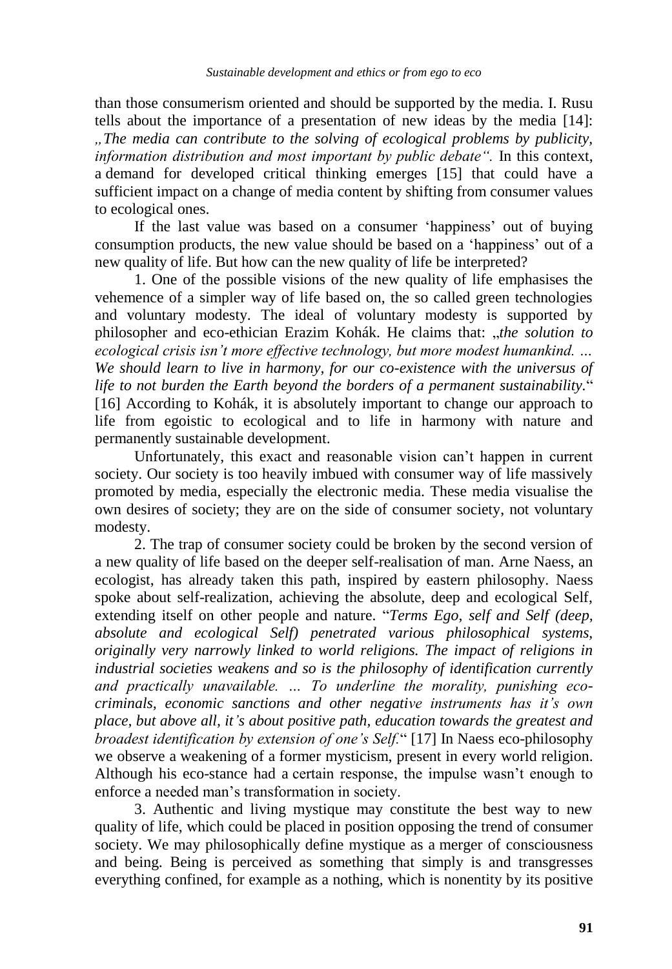than those consumerism oriented and should be supported by the media. I. Rusu tells about the importance of a presentation of new ideas by the media [14]: *"The media can contribute to the solving of ecological problems by publicity, information distribution and most important by public debate".* In this context, a demand for developed critical thinking emerges [15] that could have a sufficient impact on a change of media content by shifting from consumer values to ecological ones.

If the last value was based on a consumer 'happiness' out of buying consumption products, the new value should be based on a 'happiness' out of a new quality of life. But how can the new quality of life be interpreted?

1. One of the possible visions of the new quality of life emphasises the vehemence of a simpler way of life based on, the so called green technologies and voluntary modesty. The ideal of voluntary modesty is supported by philosopher and eco-ethician Erazim Kohák. He claims that: "*the solution to ecological crisis isn"t more effective technology, but more modest humankind. … We should learn to live in harmony, for our co-existence with the universus of life to not burden the Earth beyond the borders of a permanent sustainability.*" [16] According to Kohák, it is absolutely important to change our approach to life from egoistic to ecological and to life in harmony with nature and permanently sustainable development.

Unfortunately, this exact and reasonable vision can't happen in current society. Our society is too heavily imbued with consumer way of life massively promoted by media, especially the electronic media. These media visualise the own desires of society; they are on the side of consumer society, not voluntary modesty.

2. The trap of consumer society could be broken by the second version of a new quality of life based on the deeper self-realisation of man. Arne Naess, an ecologist, has already taken this path, inspired by eastern philosophy. Naess spoke about self-realization, achieving the absolute, deep and ecological Self, extending itself on other people and nature. "*Terms Ego, self and Self (deep, absolute and ecological Self) penetrated various philosophical systems, originally very narrowly linked to world religions. The impact of religions in industrial societies weakens and so is the philosophy of identification currently and practically unavailable. … To underline the morality, punishing ecocriminals, economic sanctions and other negative instruments has it"s own place, but above all, it"s about positive path, education towards the greatest and broadest identification by extension of one"s Self.*" [17] In Naess eco-philosophy we observe a weakening of a former mysticism, present in every world religion. Although his eco-stance had a certain response, the impulse wasn't enough to enforce a needed man's transformation in society.

3. Authentic and living mystique may constitute the best way to new quality of life, which could be placed in position opposing the trend of consumer society. We may philosophically define mystique as a merger of consciousness and being. Being is perceived as something that simply is and transgresses everything confined, for example as a nothing, which is nonentity by its positive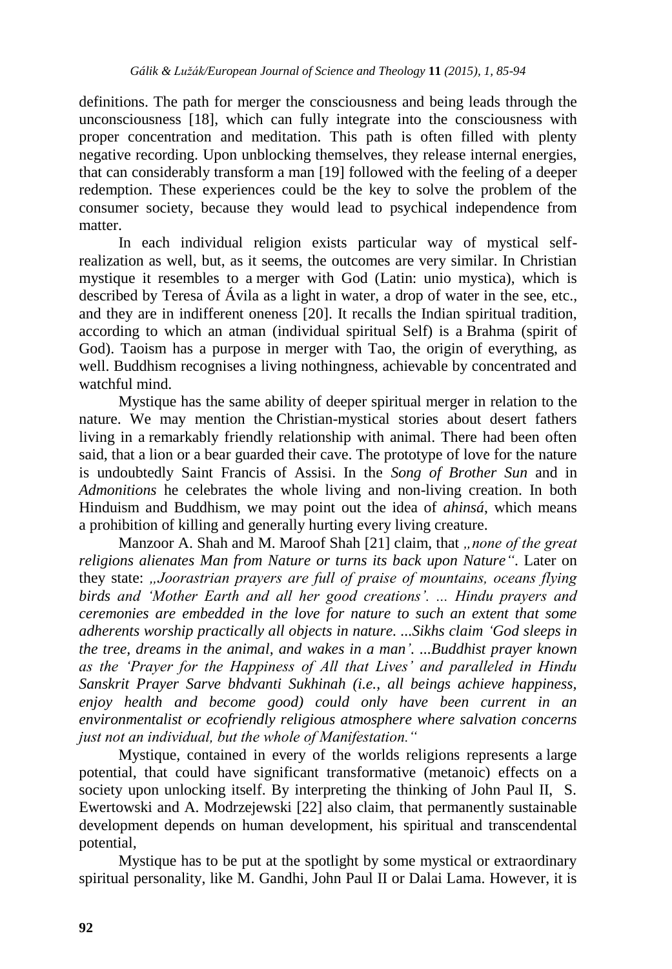definitions. The path for merger the consciousness and being leads through the unconsciousness [18], which can fully integrate into the consciousness with proper concentration and meditation. This path is often filled with plenty negative recording. Upon unblocking themselves, they release internal energies, that can considerably transform a man [19] followed with the feeling of a deeper redemption. These experiences could be the key to solve the problem of the consumer society, because they would lead to psychical independence from matter.

In each individual religion exists particular way of mystical selfrealization as well, but, as it seems, the outcomes are very similar. In Christian mystique it resembles to a merger with God (Latin: unio mystica), which is described by Teresa of Ávila as a light in water, a drop of water in the see, etc., and they are in indifferent oneness [20]. It recalls the Indian spiritual tradition, according to which an atman (individual spiritual Self) is a Brahma (spirit of God). Taoism has a purpose in merger with Tao, the origin of everything, as well. Buddhism recognises a living nothingness, achievable by concentrated and watchful mind.

Mystique has the same ability of deeper spiritual merger in relation to the nature. We may mention the Christian-mystical stories about desert fathers living in a remarkably friendly relationship with animal. There had been often said, that a lion or a bear guarded their cave. The prototype of love for the nature is undoubtedly Saint Francis of Assisi. In the *Song of Brother Sun* and in *Admonitions* he celebrates the whole living and non-living creation. In both Hinduism and Buddhism, we may point out the idea of *ahinsá*, which means a prohibition of killing and generally hurting every living creature.

Manzoor A. Shah and M. Maroof Shah [21] claim, that *"none of the great religions alienates Man from Nature or turns its back upon Nature"*. Later on they state: *"Joorastrian prayers are full of praise of mountains, oceans flying birds and "Mother Earth and all her good creations". ... Hindu prayers and ceremonies are embedded in the love for nature to such an extent that some adherents worship practically all objects in nature. ...Sikhs claim "God sleeps in the tree, dreams in the animal, and wakes in a man". ...Buddhist prayer known as the "Prayer for the Happiness of All that Lives" and paralleled in Hindu Sanskrit Prayer Sarve bhdvanti Sukhinah (i.e., all beings achieve happiness, enjoy health and become good) could only have been current in an environmentalist or ecofriendly religious atmosphere where salvation concerns just not an individual, but the whole of Manifestation."*

Mystique, contained in every of the worlds religions represents a large potential, that could have significant transformative (metanoic) effects on a society upon unlocking itself. By interpreting the thinking of John Paul II, S. Ewertowski and A. Modrzejewski [22] also claim, that permanently sustainable development depends on human development, his spiritual and transcendental potential,

Mystique has to be put at the spotlight by some mystical or extraordinary spiritual personality, like M. Gandhi, John Paul II or Dalai Lama. However, it is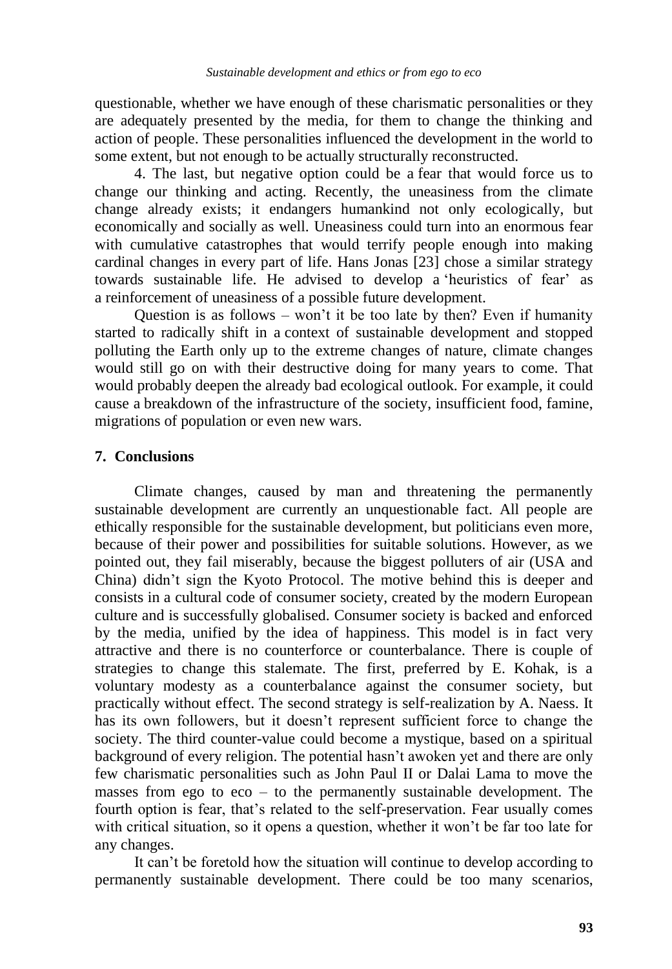questionable, whether we have enough of these charismatic personalities or they are adequately presented by the media, for them to change the thinking and action of people. These personalities influenced the development in the world to some extent, but not enough to be actually structurally reconstructed.

4. The last, but negative option could be a fear that would force us to change our thinking and acting. Recently, the uneasiness from the climate change already exists; it endangers humankind not only ecologically, but economically and socially as well. Uneasiness could turn into an enormous fear with cumulative catastrophes that would terrify people enough into making cardinal changes in every part of life. Hans Jonas [23] chose a similar strategy towards sustainable life. He advised to develop a 'heuristics of fear' as a reinforcement of uneasiness of a possible future development.

Question is as follows – won't it be too late by then? Even if humanity started to radically shift in a context of sustainable development and stopped polluting the Earth only up to the extreme changes of nature, climate changes would still go on with their destructive doing for many years to come. That would probably deepen the already bad ecological outlook. For example, it could cause a breakdown of the infrastructure of the society, insufficient food, famine, migrations of population or even new wars.

## **7. Conclusions**

Climate changes, caused by man and threatening the permanently sustainable development are currently an unquestionable fact. All people are ethically responsible for the sustainable development, but politicians even more, because of their power and possibilities for suitable solutions. However, as we pointed out, they fail miserably, because the biggest polluters of air (USA and China) didn't sign the Kyoto Protocol. The motive behind this is deeper and consists in a cultural code of consumer society, created by the modern European culture and is successfully globalised. Consumer society is backed and enforced by the media, unified by the idea of happiness. This model is in fact very attractive and there is no counterforce or counterbalance. There is couple of strategies to change this stalemate. The first, preferred by E. Kohak, is a voluntary modesty as a counterbalance against the consumer society, but practically without effect. The second strategy is self-realization by A. Naess. It has its own followers, but it doesn't represent sufficient force to change the society. The third counter-value could become a mystique, based on a spiritual background of every religion. The potential hasn't awoken yet and there are only few charismatic personalities such as John Paul II or Dalai Lama to move the masses from ego to eco – to the permanently sustainable development. The fourth option is fear, that's related to the self-preservation. Fear usually comes with critical situation, so it opens a question, whether it won't be far too late for any changes.

It can't be foretold how the situation will continue to develop according to permanently sustainable development. There could be too many scenarios,